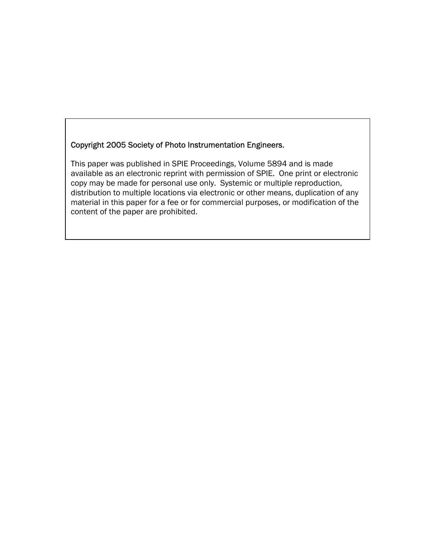# Copyright 2005 Society of Photo Instrumentation Engineers.

This paper was published in SPIE Proceedings, Volume 5894 and is made available as an electronic reprint with permission of SPIE. One print or electronic copy may be made for personal use only. Systemic or multiple reproduction, distribution to multiple locations via electronic or other means, duplication of any material in this paper for a fee or for commercial purposes, or modification of the content of the paper are prohibited.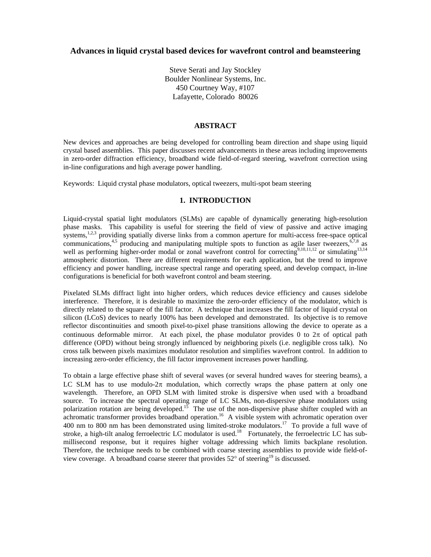**Advances in liquid crystal based devices for wavefront control and beamsteering** 

Steve Serati and Jay Stockley Boulder Nonlinear Systems, Inc. 450 Courtney Way, #107 Lafayette, Colorado 80026

## **ABSTRACT**

New devices and approaches are being developed for controlling beam direction and shape using liquid crystal based assemblies. This paper discusses recent advancements in these areas including improvements in zero-order diffraction efficiency, broadband wide field-of-regard steering, wavefront correction using in-line configurations and high average power handling.

Keywords: Liquid crystal phase modulators, optical tweezers, multi-spot beam steering

### **1. INTRODUCTION**

Liquid-crystal spatial light modulators (SLMs) are capable of dynamically generating high-resolution phase masks. This capability is useful for steering the field of view of passive and active imaging systems,<sup>1,2,3</sup> providing spatially diverse links from a common aperture for multi-access free-space optical communications,<sup>4,5</sup> producing and manipulating multiple spots to function as agile laser tweezers,  $67,8$  as well as performing higher-order modal or zonal wavefront control for correcting<sup>9,10,11,12</sup> or simulating<sup>13,14</sup> atmospheric distortion. There are different requirements for each application, but the trend to improve efficiency and power handling, increase spectral range and operating speed, and develop compact, in-line configurations is beneficial for both wavefront control and beam steering.

Pixelated SLMs diffract light into higher orders, which reduces device efficiency and causes sidelobe interference. Therefore, it is desirable to maximize the zero-order efficiency of the modulator, which is directly related to the square of the fill factor. A technique that increases the fill factor of liquid crystal on silicon (LCoS) devices to nearly 100% has been developed and demonstrated. Its objective is to remove reflector discontinuities and smooth pixel-to-pixel phase transitions allowing the device to operate as a continuous deformable mirror. At each pixel, the phase modulator provides 0 to  $2\pi$  of optical path difference (OPD) without being strongly influenced by neighboring pixels (i.e. negligible cross talk). No cross talk between pixels maximizes modulator resolution and simplifies wavefront control. In addition to increasing zero-order efficiency, the fill factor improvement increases power handling.

To obtain a large effective phase shift of several waves (or several hundred waves for steering beams), a LC SLM has to use modulo- $2\pi$  modulation, which correctly wraps the phase pattern at only one wavelength. Therefore, an OPD SLM with limited stroke is dispersive when used with a broadband source. To increase the spectral operating range of LC SLMs, non-dispersive phase modulators using polarization rotation are being developed.<sup>15</sup> The use of the non-dispersive phase shifter coupled with an achromatic transformer provides broadband operation.<sup>16</sup> A visible system with achromatic operation over 400 nm to 800 nm has been demonstrated using limited-stroke modulators.<sup>17</sup> To provide a full wave of stroke, a high-tilt analog ferroelectric LC modulator is used.<sup>18</sup> Fortunately, the ferroelectric LC has submillisecond response, but it requires higher voltage addressing which limits backplane resolution. Therefore, the technique needs to be combined with coarse steering assemblies to provide wide field-ofview coverage. A broadband coarse steerer that provides  $52^{\circ}$  of steering<sup>19</sup> is discussed.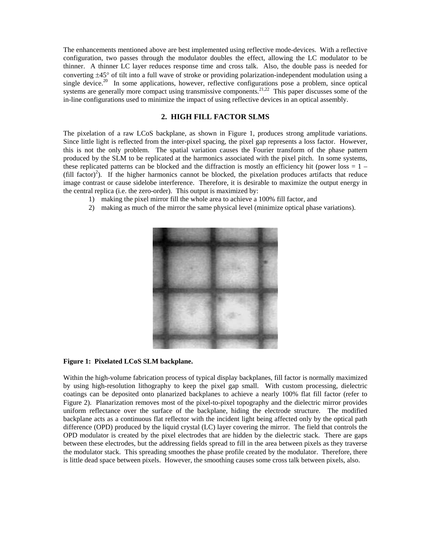The enhancements mentioned above are best implemented using reflective mode-devices. With a reflective configuration, two passes through the modulator doubles the effect, allowing the LC modulator to be thinner. A thinner LC layer reduces response time and cross talk. Also, the double pass is needed for converting  $\pm$ 45 $\degree$  of tilt into a full wave of stroke or providing polarization-independent modulation using a single device.<sup>20</sup> In some applications, however, reflective configurations pose a problem, since optical systems are generally more compact using transmissive components.<sup>21,22</sup> This paper discusses some of the in-line configurations used to minimize the impact of using reflective devices in an optical assembly.

# **2. HIGH FILL FACTOR SLMS**

The pixelation of a raw LCoS backplane, as shown in Figure 1, produces strong amplitude variations. Since little light is reflected from the inter-pixel spacing, the pixel gap represents a loss factor. However, this is not the only problem. The spatial variation causes the Fourier transform of the phase pattern produced by the SLM to be replicated at the harmonics associated with the pixel pitch. In some systems, these replicated patterns can be blocked and the diffraction is mostly an efficiency hit (power loss  $= 1 -$ (fill factor) 2 ). If the higher harmonics cannot be blocked, the pixelation produces artifacts that reduce image contrast or cause sidelobe interference. Therefore, it is desirable to maximize the output energy in the central replica (i.e. the zero-order). This output is maximized by:

- 1) making the pixel mirror fill the whole area to achieve a 100% fill factor, and
- 2) making as much of the mirror the same physical level (minimize optical phase variations).



#### **Figure 1: Pixelated LCoS SLM backplane.**

Within the high-volume fabrication process of typical display backplanes, fill factor is normally maximized by using high-resolution lithography to keep the pixel gap small. With custom processing, dielectric coatings can be deposited onto planarized backplanes to achieve a nearly 100% flat fill factor (refer to Figure 2). Planarization removes most of the pixel-to-pixel topography and the dielectric mirror provides uniform reflectance over the surface of the backplane, hiding the electrode structure. The modified backplane acts as a continuous flat reflector with the incident light being affected only by the optical path difference (OPD) produced by the liquid crystal (LC) layer covering the mirror. The field that controls the OPD modulator is created by the pixel electrodes that are hidden by the dielectric stack. There are gaps between these electrodes, but the addressing fields spread to fill in the area between pixels as they traverse the modulator stack. This spreading smoothes the phase profile created by the modulator. Therefore, there is little dead space between pixels. However, the smoothing causes some cross talk between pixels, also.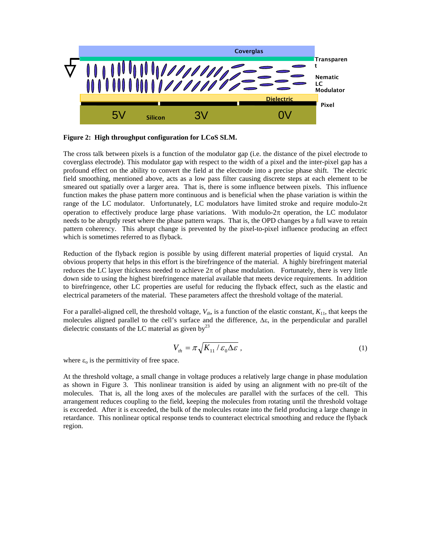

**Figure 2: High throughput configuration for LCoS SLM.** 

The cross talk between pixels is a function of the modulator gap (i.e. the distance of the pixel electrode to coverglass electrode). This modulator gap with respect to the width of a pixel and the inter-pixel gap has a profound effect on the ability to convert the field at the electrode into a precise phase shift. The electric field smoothing, mentioned above, acts as a low pass filter causing discrete steps at each element to be smeared out spatially over a larger area. That is, there is some influence between pixels. This influence function makes the phase pattern more continuous and is beneficial when the phase variation is within the range of the LC modulator. Unfortunately, LC modulators have limited stroke and require modulo- $2\pi$ operation to effectively produce large phase variations. With modulo- $2\pi$  operation, the LC modulator needs to be abruptly reset where the phase pattern wraps. That is, the OPD changes by a full wave to retain pattern coherency. This abrupt change is prevented by the pixel-to-pixel influence producing an effect which is sometimes referred to as flyback.

Reduction of the flyback region is possible by using different material properties of liquid crystal. An obvious property that helps in this effort is the birefringence of the material. A highly birefringent material reduces the LC layer thickness needed to achieve  $2\pi$  of phase modulation. Fortunately, there is very little down side to using the highest birefringence material available that meets device requirements. In addition to birefringence, other LC properties are useful for reducing the flyback effect, such as the elastic and electrical parameters of the material. These parameters affect the threshold voltage of the material.

For a parallel-aligned cell, the threshold voltage,  $V_{th}$ , is a function of the elastic constant,  $K_{11}$ , that keeps the molecules aligned parallel to the cell's surface and the difference, ∆ε, in the perpendicular and parallel dielectric constants of the LC material as given by<sup>23</sup>

$$
V_{th} = \pi \sqrt{K_{11} / \varepsilon_0 \Delta \varepsilon} \,, \tag{1}
$$

where  $\varepsilon_0$  is the permittivity of free space.

At the threshold voltage, a small change in voltage produces a relatively large change in phase modulation as shown in Figure 3. This nonlinear transition is aided by using an alignment with no pre-tilt of the molecules. That is, all the long axes of the molecules are parallel with the surfaces of the cell. This arrangement reduces coupling to the field, keeping the molecules from rotating until the threshold voltage is exceeded. After it is exceeded, the bulk of the molecules rotate into the field producing a large change in retardance. This nonlinear optical response tends to counteract electrical smoothing and reduce the flyback region.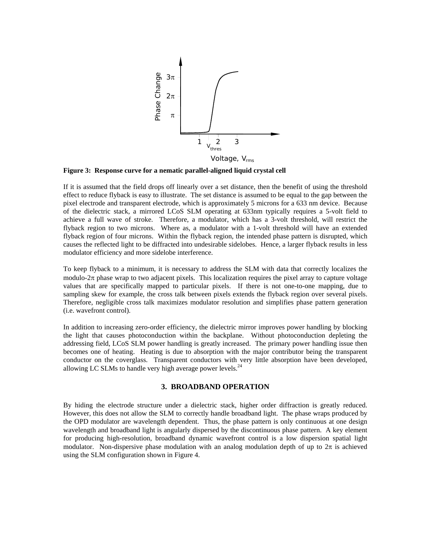

**Figure 3: Response curve for a nematic parallel-aligned liquid crystal cell** 

If it is assumed that the field drops off linearly over a set distance, then the benefit of using the threshold effect to reduce flyback is easy to illustrate. The set distance is assumed to be equal to the gap between the pixel electrode and transparent electrode, which is approximately 5 microns for a 633 nm device. Because of the dielectric stack, a mirrored LCoS SLM operating at 633nm typically requires a 5-volt field to achieve a full wave of stroke. Therefore, a modulator, which has a 3-volt threshold, will restrict the flyback region to two microns. Where as, a modulator with a 1-volt threshold will have an extended flyback region of four microns. Within the flyback region, the intended phase pattern is disrupted, which causes the reflected light to be diffracted into undesirable sidelobes. Hence, a larger flyback results in less modulator efficiency and more sidelobe interference.

To keep flyback to a minimum, it is necessary to address the SLM with data that correctly localizes the modulo- $2\pi$  phase wrap to two adjacent pixels. This localization requires the pixel array to capture voltage values that are specifically mapped to particular pixels. If there is not one-to-one mapping, due to sampling skew for example, the cross talk between pixels extends the flyback region over several pixels. Therefore, negligible cross talk maximizes modulator resolution and simplifies phase pattern generation (i.e. wavefront control).

In addition to increasing zero-order efficiency, the dielectric mirror improves power handling by blocking the light that causes photoconduction within the backplane. Without photoconduction depleting the addressing field, LCoS SLM power handling is greatly increased. The primary power handling issue then becomes one of heating. Heating is due to absorption with the major contributor being the transparent conductor on the coverglass. Transparent conductors with very little absorption have been developed, allowing LC SLMs to handle very high average power levels.<sup>24</sup>

# **3. BROADBAND OPERATION**

By hiding the electrode structure under a dielectric stack, higher order diffraction is greatly reduced. However, this does not allow the SLM to correctly handle broadband light. The phase wraps produced by the OPD modulator are wavelength dependent. Thus, the phase pattern is only continuous at one design wavelength and broadband light is angularly dispersed by the discontinuous phase pattern. A key element for producing high-resolution, broadband dynamic wavefront control is a low dispersion spatial light modulator. Non-dispersive phase modulation with an analog modulation depth of up to  $2\pi$  is achieved using the SLM configuration shown in Figure 4.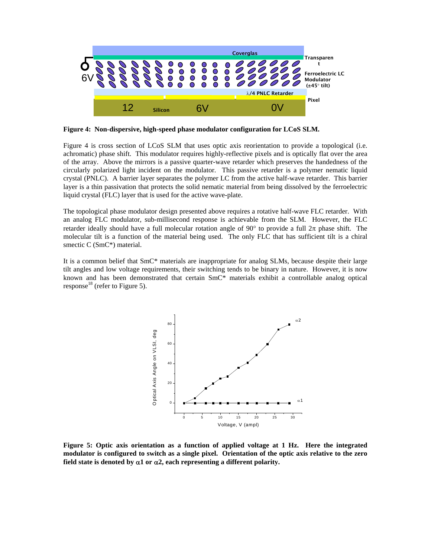

**Figure 4: Non-dispersive, high-speed phase modulator configuration for LCoS SLM.** 

Figure 4 is cross section of LCoS SLM that uses optic axis reorientation to provide a topological (i.e. achromatic) phase shift. This modulator requires highly-reflective pixels and is optically flat over the area of the array. Above the mirrors is a passive quarter-wave retarder which preserves the handedness of the circularly polarized light incident on the modulator. This passive retarder is a polymer nematic liquid crystal (PNLC). A barrier layer separates the polymer LC from the active half-wave retarder. This barrier layer is a thin passivation that protects the solid nematic material from being dissolved by the ferroelectric liquid crystal (FLC) layer that is used for the active wave-plate.

The topological phase modulator design presented above requires a rotative half-wave FLC retarder. With an analog FLC modulator, sub-millisecond response is achievable from the SLM. However, the FLC retarder ideally should have a full molecular rotation angle of 90 $^{\circ}$  to provide a full  $2\pi$  phase shift. The molecular tilt is a function of the material being used. The only FLC that has sufficient tilt is a chiral smectic C (SmC<sup>\*</sup>) material.

It is a common belief that SmC\* materials are inappropriate for analog SLMs, because despite their large tilt angles and low voltage requirements, their switching tends to be binary in nature. However, it is now known and has been demonstrated that certain SmC\* materials exhibit a controllable analog optical response<sup>18</sup> (refer to Figure 5).



**Figure 5: Optic axis orientation as a function of applied voltage at 1 Hz. Here the integrated modulator is configured to switch as a single pixel. Orientation of the optic axis relative to the zero field state is denoted by** α**1 or** α**2, each representing a different polarity.**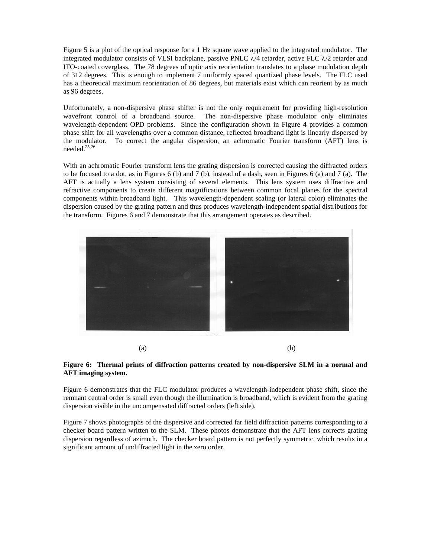Figure 5 is a plot of the optical response for a 1 Hz square wave applied to the integrated modulator. The integrated modulator consists of VLSI backplane, passive PNLC  $\lambda$ /4 retarder, active FLC  $\lambda$ /2 retarder and ITO-coated coverglass. The 78 degrees of optic axis reorientation translates to a phase modulation depth of 312 degrees. This is enough to implement 7 uniformly spaced quantized phase levels. The FLC used has a theoretical maximum reorientation of 86 degrees, but materials exist which can reorient by as much as 96 degrees.

Unfortunately, a non-dispersive phase shifter is not the only requirement for providing high-resolution wavefront control of a broadband source. The non-dispersive phase modulator only eliminates wavelength-dependent OPD problems. Since the configuration shown in Figure 4 provides a common phase shift for all wavelengths over a common distance, reflected broadband light is linearly dispersed by the modulator. To correct the angular dispersion, an achromatic Fourier transform (AFT) lens is needed.<sup>25,26</sup>

With an achromatic Fourier transform lens the grating dispersion is corrected causing the diffracted orders to be focused to a dot, as in Figures 6 (b) and 7 (b), instead of a dash, seen in Figures 6 (a) and 7 (a). The AFT is actually a lens system consisting of several elements. This lens system uses diffractive and refractive components to create different magnifications between common focal planes for the spectral components within broadband light. This wavelength-dependent scaling (or lateral color) eliminates the dispersion caused by the grating pattern and thus produces wavelength-independent spatial distributions for the transform. Figures 6 and 7 demonstrate that this arrangement operates as described.



**Figure 6: Thermal prints of diffraction patterns created by non-dispersive SLM in a normal and AFT imaging system.** 

Figure 6 demonstrates that the FLC modulator produces a wavelength-independent phase shift, since the remnant central order is small even though the illumination is broadband, which is evident from the grating dispersion visible in the uncompensated diffracted orders (left side).

Figure 7 shows photographs of the dispersive and corrected far field diffraction patterns corresponding to a checker board pattern written to the SLM. These photos demonstrate that the AFT lens corrects grating dispersion regardless of azimuth. The checker board pattern is not perfectly symmetric, which results in a significant amount of undiffracted light in the zero order.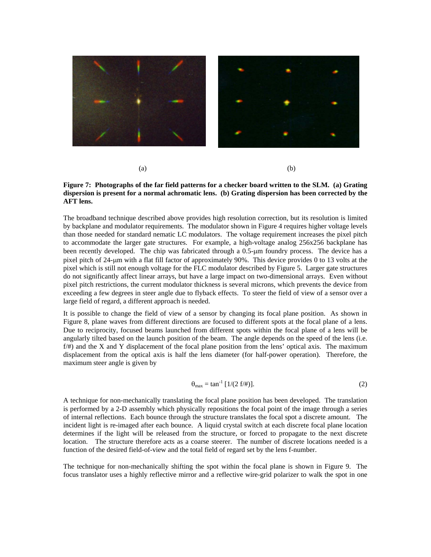

**Figure 7: Photographs of the far field patterns for a checker board written to the SLM. (a) Grating dispersion is present for a normal achromatic lens. (b) Grating dispersion has been corrected by the AFT lens.** 

 $(a)$  (b)

The broadband technique described above provides high resolution correction, but its resolution is limited by backplane and modulator requirements. The modulator shown in Figure 4 requires higher voltage levels than those needed for standard nematic LC modulators. The voltage requirement increases the pixel pitch to accommodate the larger gate structures. For example, a high-voltage analog 256x256 backplane has been recently developed. The chip was fabricated through a 0.5-µm foundry process. The device has a pixel pitch of 24-µm with a flat fill factor of approximately 90%. This device provides 0 to 13 volts at the pixel which is still not enough voltage for the FLC modulator described by Figure 5. Larger gate structures do not significantly affect linear arrays, but have a large impact on two-dimensional arrays. Even without pixel pitch restrictions, the current modulator thickness is several microns, which prevents the device from exceeding a few degrees in steer angle due to flyback effects. To steer the field of view of a sensor over a large field of regard, a different approach is needed.

It is possible to change the field of view of a sensor by changing its focal plane position. As shown in Figure 8, plane waves from different directions are focused to different spots at the focal plane of a lens. Due to reciprocity, focused beams launched from different spots within the focal plane of a lens will be angularly tilted based on the launch position of the beam. The angle depends on the speed of the lens (i.e.  $f(\#)$  and the X and Y displacement of the focal plane position from the lens' optical axis. The maximum displacement from the optical axis is half the lens diameter (for half-power operation). Therefore, the maximum steer angle is given by

$$
\theta_{\text{max}} = \tan^{-1} [1/(2 \text{ f}/\text{#})]. \tag{2}
$$

A technique for non-mechanically translating the focal plane position has been developed. The translation is performed by a 2-D assembly which physically repositions the focal point of the image through a series of internal reflections. Each bounce through the structure translates the focal spot a discrete amount. The incident light is re-imaged after each bounce. A liquid crystal switch at each discrete focal plane location determines if the light will be released from the structure, or forced to propagate to the next discrete location. The structure therefore acts as a coarse steerer. The number of discrete locations needed is a function of the desired field-of-view and the total field of regard set by the lens f-number.

The technique for non-mechanically shifting the spot within the focal plane is shown in Figure 9. The focus translator uses a highly reflective mirror and a reflective wire-grid polarizer to walk the spot in one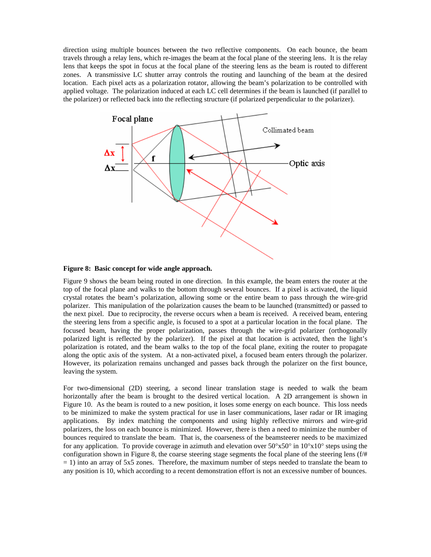direction using multiple bounces between the two reflective components. On each bounce, the beam travels through a relay lens, which re-images the beam at the focal plane of the steering lens. It is the relay lens that keeps the spot in focus at the focal plane of the steering lens as the beam is routed to different zones. A transmissive LC shutter array controls the routing and launching of the beam at the desired location. Each pixel acts as a polarization rotator, allowing the beam's polarization to be controlled with applied voltage. The polarization induced at each LC cell determines if the beam is launched (if parallel to the polarizer) or reflected back into the reflecting structure (if polarized perpendicular to the polarizer).



#### **Figure 8: Basic concept for wide angle approach.**

Figure 9 shows the beam being routed in one direction. In this example, the beam enters the router at the top of the focal plane and walks to the bottom through several bounces. If a pixel is activated, the liquid crystal rotates the beam's polarization, allowing some or the entire beam to pass through the wire-grid polarizer. This manipulation of the polarization causes the beam to be launched (transmitted) or passed to the next pixel. Due to reciprocity, the reverse occurs when a beam is received. A received beam, entering the steering lens from a specific angle, is focused to a spot at a particular location in the focal plane. The focused beam, having the proper polarization, passes through the wire-grid polarizer (orthogonally polarized light is reflected by the polarizer). If the pixel at that location is activated, then the light's polarization is rotated, and the beam walks to the top of the focal plane, exiting the router to propagate along the optic axis of the system. At a non-activated pixel, a focused beam enters through the polarizer. However, its polarization remains unchanged and passes back through the polarizer on the first bounce, leaving the system.

For two-dimensional (2D) steering, a second linear translation stage is needed to walk the beam horizontally after the beam is brought to the desired vertical location. A 2D arrangement is shown in Figure 10. As the beam is routed to a new position, it loses some energy on each bounce. This loss needs to be minimized to make the system practical for use in laser communications, laser radar or IR imaging applications. By index matching the components and using highly reflective mirrors and wire-grid polarizers, the loss on each bounce is minimized. However, there is then a need to minimize the number of bounces required to translate the beam. That is, the coarseness of the beamsteerer needs to be maximized for any application. To provide coverage in azimuth and elevation over  $50^{\circ}x50^{\circ}$  in  $10^{\circ}x10^{\circ}$  steps using the configuration shown in Figure 8, the coarse steering stage segments the focal plane of the steering lens (f/#  $= 1$ ) into an array of 5x5 zones. Therefore, the maximum number of steps needed to translate the beam to any position is 10, which according to a recent demonstration effort is not an excessive number of bounces.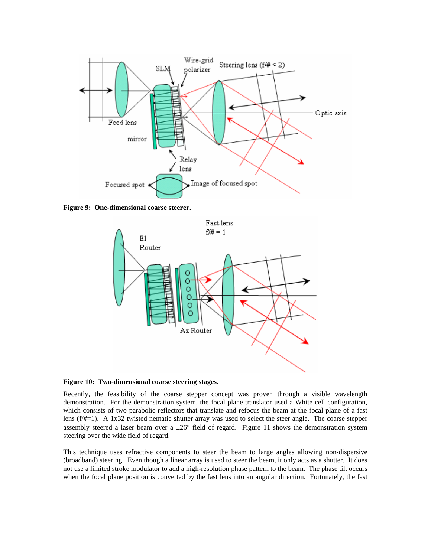

**Figure 9: One-dimensional coarse steerer.** 



**Figure 10: Two-dimensional coarse steering stages.** 

Recently, the feasibility of the coarse stepper concept was proven through a visible wavelength demonstration. For the demonstration system, the focal plane translator used a White cell configuration, which consists of two parabolic reflectors that translate and refocus the beam at the focal plane of a fast lens (f/#=1). A 1x32 twisted nematic shutter array was used to select the steer angle. The coarse stepper assembly steered a laser beam over a  $\pm 26^\circ$  field of regard. Figure 11 shows the demonstration system steering over the wide field of regard.

This technique uses refractive components to steer the beam to large angles allowing non-dispersive (broadband) steering. Even though a linear array is used to steer the beam, it only acts as a shutter. It does not use a limited stroke modulator to add a high-resolution phase pattern to the beam. The phase tilt occurs when the focal plane position is converted by the fast lens into an angular direction. Fortunately, the fast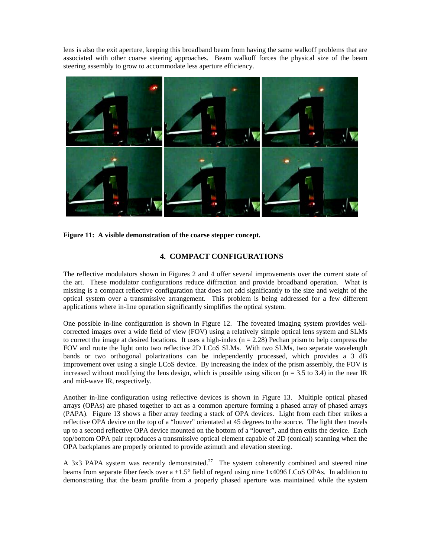lens is also the exit aperture, keeping this broadband beam from having the same walkoff problems that are associated with other coarse steering approaches. Beam walkoff forces the physical size of the beam steering assembly to grow to accommodate less aperture efficiency.



**Figure 11: A visible demonstration of the coarse stepper concept.** 

# **4. COMPACT CONFIGURATIONS**

The reflective modulators shown in Figures 2 and 4 offer several improvements over the current state of the art. These modulator configurations reduce diffraction and provide broadband operation. What is missing is a compact reflective configuration that does not add significantly to the size and weight of the optical system over a transmissive arrangement. This problem is being addressed for a few different applications where in-line operation significantly simplifies the optical system.

One possible in-line configuration is shown in Figure 12. The foveated imaging system provides wellcorrected images over a wide field of view (FOV) using a relatively simple optical lens system and SLMs to correct the image at desired locations. It uses a high-index  $(n = 2.28)$  Pechan prism to help compress the FOV and route the light onto two reflective 2D LCoS SLMs. With two SLMs, two separate wavelength bands or two orthogonal polarizations can be independently processed, which provides a 3 dB improvement over using a single LCoS device. By increasing the index of the prism assembly, the FOV is increased without modifying the lens design, which is possible using silicon  $(n = 3.5$  to 3.4) in the near IR and mid-wave IR, respectively.

Another in-line configuration using reflective devices is shown in Figure 13. Multiple optical phased arrays (OPAs) are phased together to act as a common aperture forming a phased array of phased arrays (PAPA). Figure 13 shows a fiber array feeding a stack of OPA devices. Light from each fiber strikes a reflective OPA device on the top of a "louver" orientated at 45 degrees to the source. The light then travels up to a second reflective OPA device mounted on the bottom of a "louver", and then exits the device. Each top/bottom OPA pair reproduces a transmissive optical element capable of 2D (conical) scanning when the OPA backplanes are properly oriented to provide azimuth and elevation steering.

A 3x3 PAPA system was recently demonstrated.<sup>27</sup> The system coherently combined and steered nine beams from separate fiber feeds over a  $\pm 1.5^{\circ}$  field of regard using nine 1x4096 LCoS OPAs. In addition to demonstrating that the beam profile from a properly phased aperture was maintained while the system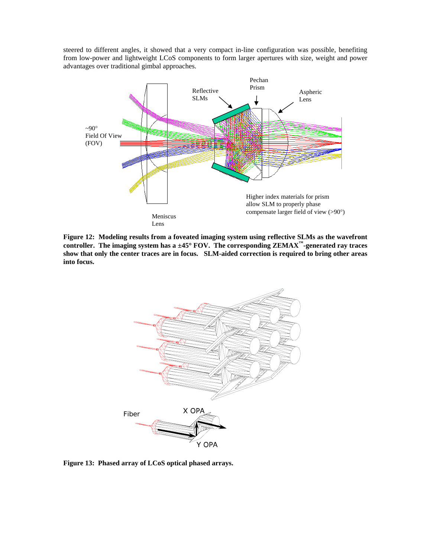steered to different angles, it showed that a very compact in-line configuration was possible, benefiting from low-power and lightweight LCoS components to form larger apertures with size, weight and power advantages over traditional gimbal approaches.



**Figure 12: Modeling results from a foveated imaging system using reflective SLMs as the wavefront controller. The imaging system has a ±45**° **FOV. The corresponding ZEMAX™-generated ray traces show that only the center traces are in focus. SLM-aided correction is required to bring other areas into focus.** 



**Figure 13: Phased array of LCoS optical phased arrays.**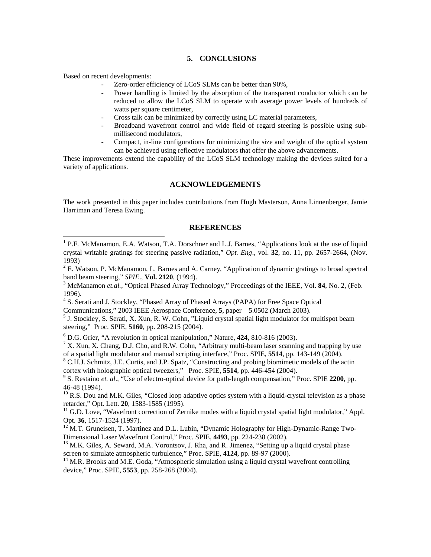# **5. CONCLUSIONS**

Based on recent developments:

 $\overline{a}$ 

- Zero-order efficiency of LCoS SLMs can be better than 90%,
- Power handling is limited by the absorption of the transparent conductor which can be reduced to allow the LCoS SLM to operate with average power levels of hundreds of watts per square centimeter,
- Cross talk can be minimized by correctly using LC material parameters,
- Broadband wavefront control and wide field of regard steering is possible using submillisecond modulators,
- Compact, in-line configurations for minimizing the size and weight of the optical system can be achieved using reflective modulators that offer the above advancements.

These improvements extend the capability of the LCoS SLM technology making the devices suited for a variety of applications.

## **ACKNOWLEDGEMENTS**

The work presented in this paper includes contributions from Hugh Masterson, Anna Linnenberger, Jamie Harriman and Teresa Ewing.

## **REFERENCES**

 $2^2$  E. Watson, P. McManamon, L. Barnes and A. Carney, "Application of dynamic gratings to broad spectral band beam steering," *SPIE*., **Vol. 2120**, (1994). 3

<sup>3</sup> McManamon *et.al.*, "Optical Phased Array Technology," Proceedings of the IEEE, Vol. **84**, No. 2, (Feb. 1996).

<sup>4</sup> S. Serati and J. Stockley, "Phased Array of Phased Arrays (PAPA) for Free Space Optical Communications," 2003 IEEE Aerospace Conference, **5**, paper – 5.0502 (March 2003).

 $<sup>5</sup>$  J. Stockley, S. Serati, X. Xun, R. W. Cohn, "Liquid crystal spatial light modulator for multispot beam</sup> steering," Proc. SPIE, **5160**, pp. 208-215 (2004).

<sup>6</sup> D.G. Grier, "A revolution in optical manipulation," Nature,  $424$ ,  $810-816$  (2003).

<sup>7</sup> X. Xun, X. Chang, D.J. Cho, and R.W. Cohn, "Arbitrary multi-beam laser scanning and trapping by use of a spatial light modulator and manual scripting interface," Proc. SPIE, **5514**, pp. 143-149 (2004). 8

 ${}^8$  C.H.J. Schmitz, J.E. Curtis, and J.P. Spatz, "Constructing and probing biomimetic models of the actin cortex with holographic optical tweezers," Proc. SPIE, 5514, pp. 446-454 (2004).

 S. Restaino *et. al*., "Use of electro-optical device for path-length compensation," Proc. SPIE **2200**, pp. 46-48 (1994).

 $10$  R.S. Dou and M.K. Giles, "Closed loop adaptive optics system with a liquid-crystal television as a phase retarder," Opt. Lett. **20**, 1583-1585 (1995).<br><sup>11</sup> G.D. Love, "Wavefront correction of Zernike modes with a liquid crystal spatial light modulator," Appl.

Opt. 36, 1517-1524 (1997).<br><sup>12</sup> M.T. Gruneisen, T. Martinez and D.L. Lubin, "Dynamic Holography for High-Dynamic-Range Two-<br>Dimensional Laser Wavefront Control," Proc. SPIE, 4493, pp. 224-238 (2002).

 $^{13}$  M.K. Giles, A. Seward, M.A. Vorontsov, J. Rha, and R. Jimenez, "Setting up a liquid crystal phase screen to simulate atmospheric turbulence," Proc. SPIE,  $4124$ , pp. 89-97 (2000).

 $14$  M.R. Brooks and M.E. Goda, "Atmospheric simulation using a liquid crystal wavefront controlling device," Proc. SPIE, **5553**, pp. 258-268 (2004).

<sup>&</sup>lt;sup>1</sup> P.F. McManamon, E.A. Watson, T.A. Dorschner and L.J. Barnes, "Applications look at the use of liquid crystal writable gratings for steering passive radiation," *Opt. Eng*., vol. **32**, no. 11, pp. 2657-2664, (Nov. 1993)